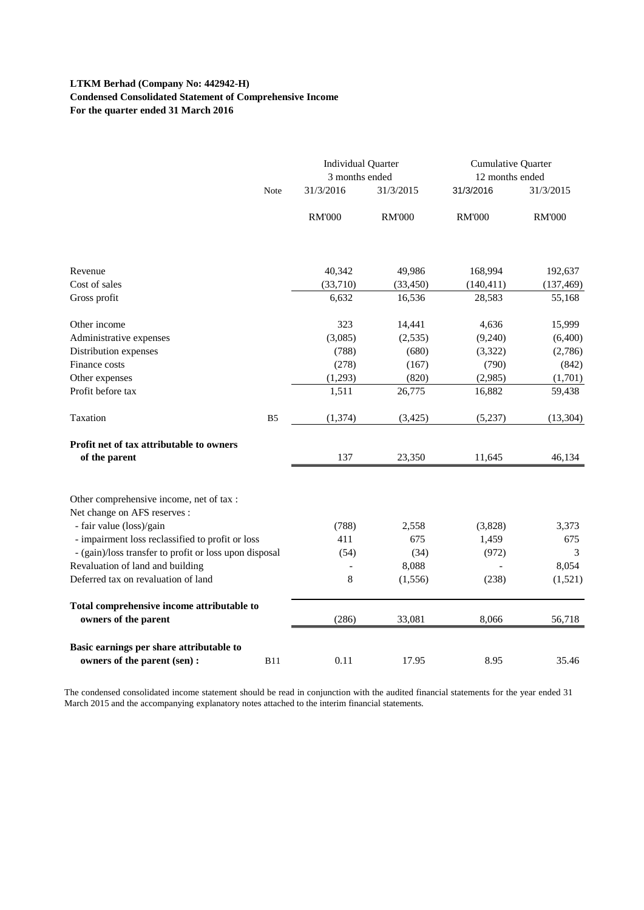# **LTKM Berhad (Company No: 442942-H) Condensed Consolidated Statement of Comprehensive Income For the quarter ended 31 March 2016**

|                                                                          |                | <b>Individual Quarter</b><br>3 months ended |               | Cumulative Quarter<br>12 months ended |                       |
|--------------------------------------------------------------------------|----------------|---------------------------------------------|---------------|---------------------------------------|-----------------------|
|                                                                          | Note           | 31/3/2016                                   | 31/3/2015     | 31/3/2016                             | 31/3/2015             |
|                                                                          |                | <b>RM'000</b>                               | <b>RM'000</b> | <b>RM'000</b>                         | <b>RM'000</b>         |
| Revenue                                                                  |                | 40,342                                      | 49,986        | 168,994                               |                       |
| Cost of sales                                                            |                | (33,710)                                    | (33, 450)     | (140, 411)                            | 192,637<br>(137, 469) |
| Gross profit                                                             |                | 6,632                                       | 16,536        | 28,583                                | 55,168                |
| Other income                                                             |                | 323                                         | 14,441        | 4,636                                 | 15,999                |
| Administrative expenses                                                  |                | (3,085)                                     | (2, 535)      | (9,240)                               | (6,400)               |
| Distribution expenses                                                    |                | (788)                                       | (680)         | (3,322)                               | (2,786)               |
| Finance costs                                                            |                | (278)                                       | (167)         | (790)                                 | (842)                 |
| Other expenses                                                           |                | (1,293)                                     | (820)         | (2,985)                               | (1,701)               |
| Profit before tax                                                        |                | 1,511                                       | 26,775        | 16,882                                | 59,438                |
| Taxation                                                                 | B <sub>5</sub> | (1, 374)                                    | (3, 425)      | (5,237)                               | (13, 304)             |
| <b>Profit net of tax attributable to owners</b><br>of the parent         |                | 137                                         | 23,350        | 11,645                                | 46,134                |
| Other comprehensive income, net of tax :<br>Net change on AFS reserves : |                |                                             |               |                                       |                       |
| - fair value (loss)/gain                                                 |                | (788)                                       | 2,558         | (3,828)                               | 3,373                 |
| - impairment loss reclassified to profit or loss                         |                | 411                                         | 675           | 1,459                                 | 675                   |
| - (gain)/loss transfer to profit or loss upon disposal                   |                | (54)                                        | (34)          | (972)                                 | 3                     |
| Revaluation of land and building                                         |                |                                             | 8,088         |                                       | 8,054                 |
| Deferred tax on revaluation of land                                      |                | 8                                           | (1, 556)      | (238)                                 | (1,521)               |
| Total comprehensive income attributable to<br>owners of the parent       |                | (286)                                       | 33,081        | 8,066                                 | 56,718                |
| Basic earnings per share attributable to<br>owners of the parent (sen) : | <b>B11</b>     | 0.11                                        | 17.95         | 8.95                                  | 35.46                 |

The condensed consolidated income statement should be read in conjunction with the audited financial statements for the year ended 31 March 2015 and the accompanying explanatory notes attached to the interim financial statements.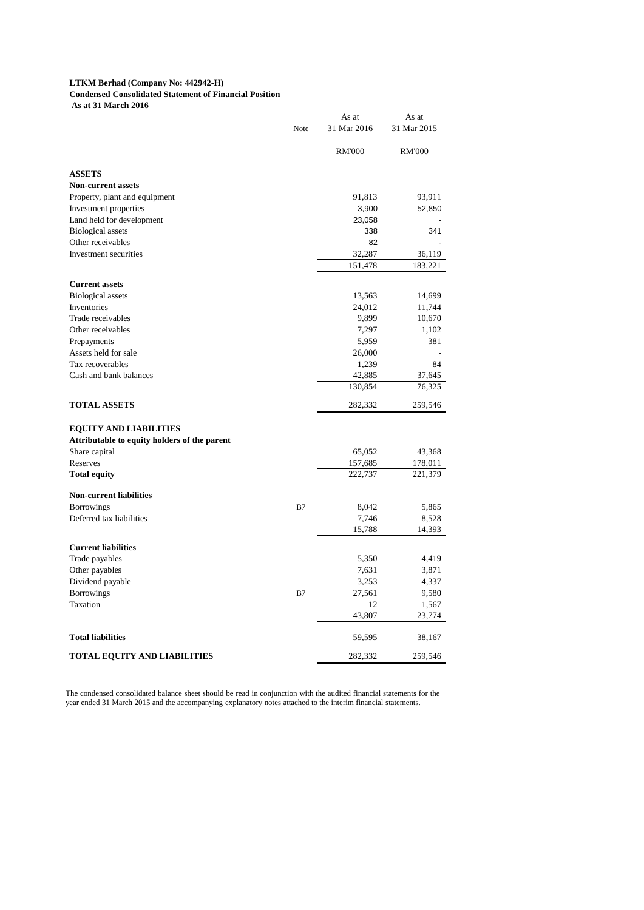### **LTKM Berhad (Company No: 442942-H)**

**Condensed Consolidated Statement of Financial Position**

 **As at 31 March 2016**

|                                              |      | As at         | As at         |
|----------------------------------------------|------|---------------|---------------|
|                                              | Note | 31 Mar 2016   | 31 Mar 2015   |
|                                              |      | <b>RM'000</b> | <b>RM'000</b> |
| <b>ASSETS</b>                                |      |               |               |
| <b>Non-current assets</b>                    |      |               |               |
| Property, plant and equipment                |      | 91,813        | 93,911        |
| Investment properties                        |      | 3,900         | 52,850        |
| Land held for development                    |      | 23,058        |               |
| <b>Biological</b> assets                     |      | 338           | 341           |
| Other receivables                            |      | 82            |               |
| Investment securities                        |      | 32,287        | 36,119        |
|                                              |      | 151,478       | 183,221       |
| <b>Current assets</b>                        |      |               |               |
| <b>Biological assets</b>                     |      | 13,563        | 14,699        |
| Inventories                                  |      | 24,012        | 11,744        |
| Trade receivables                            |      | 9,899         | 10,670        |
| Other receivables                            |      | 7,297         | 1,102         |
| Prepayments                                  |      | 5,959         | 381           |
| Assets held for sale                         |      | 26,000        |               |
| Tax recoverables                             |      | 1,239         | 84            |
| Cash and bank balances                       |      | 42,885        | 37,645        |
|                                              |      | 130,854       | 76,325        |
| <b>TOTAL ASSETS</b>                          |      | 282,332       | 259,546       |
| <b>EQUITY AND LIABILITIES</b>                |      |               |               |
| Attributable to equity holders of the parent |      |               |               |
| Share capital                                |      | 65,052        | 43,368        |
| Reserves                                     |      | 157,685       | 178,011       |
| <b>Total equity</b>                          |      | 222,737       | 221,379       |
| <b>Non-current liabilities</b>               |      |               |               |
| <b>Borrowings</b>                            | B7   | 8,042         | 5,865         |
| Deferred tax liabilities                     |      | 7,746         | 8,528         |
|                                              |      | 15,788        | 14,393        |
| <b>Current liabilities</b>                   |      |               |               |
| Trade payables                               |      | 5,350         | 4,419         |
| Other payables                               |      | 7,631         | 3,871         |
| Dividend payable                             |      | 3,253         | 4,337         |
| <b>Borrowings</b>                            | B7   | 27,561        | 9,580         |
| Taxation                                     |      | 12            | 1,567         |
|                                              |      | 43,807        | 23,774        |
| <b>Total liabilities</b>                     |      | 59,595        | 38,167        |
| <b>TOTAL EQUITY AND LIABILITIES</b>          |      | 282,332       | 259,546       |

The condensed consolidated balance sheet should be read in conjunction with the audited financial statements for the year ended 31 March 2015 and the accompanying explanatory notes attached to the interim financial statements.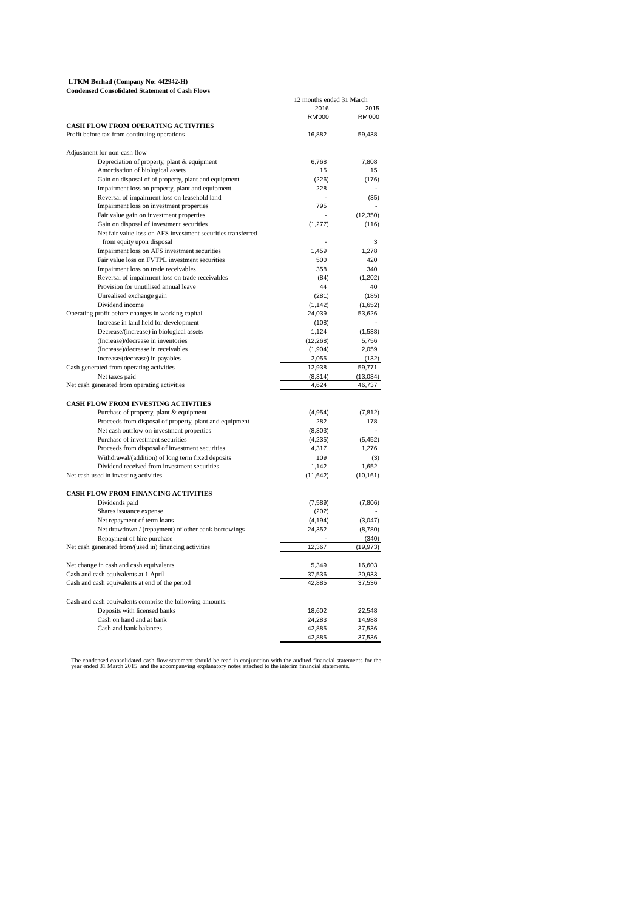| LTKM Berhad (Company No: 442942-H)                    |  |
|-------------------------------------------------------|--|
| <b>Condensed Consolidated Statement of Cash Flows</b> |  |

|                                                                                                    | 12 months ended 31 March |           |
|----------------------------------------------------------------------------------------------------|--------------------------|-----------|
|                                                                                                    | 2016                     | 2015      |
|                                                                                                    | RM'000                   | RM'000    |
| <b>CASH FLOW FROM OPERATING ACTIVITIES</b>                                                         |                          |           |
| Profit before tax from continuing operations                                                       | 16,882                   | 59,438    |
| Adjustment for non-cash flow                                                                       |                          |           |
| Depreciation of property, plant & equipment                                                        | 6,768                    | 7,808     |
| Amortisation of biological assets                                                                  | 15                       | 15        |
| Gain on disposal of of property, plant and equipment                                               | (226)                    | (176)     |
| Impairment loss on property, plant and equipment                                                   | 228                      |           |
| Reversal of impairment loss on leasehold land                                                      |                          | (35)      |
| Impairment loss on investment properties                                                           | 795                      |           |
| Fair value gain on investment properties                                                           |                          | (12, 350) |
| Gain on disposal of investment securities                                                          | (1, 277)                 | (116)     |
| Net fair value loss on AFS investment securities transferred                                       |                          |           |
| from equity upon disposal                                                                          |                          | 3         |
| Impairment loss on AFS investment securities                                                       | 1.459                    | 1.278     |
| Fair value loss on FVTPL investment securities                                                     | 500                      | 420       |
| Impairment loss on trade receivables                                                               | 358                      | 340       |
| Reversal of impairment loss on trade receivables                                                   | (84)                     | (1, 202)  |
| Provision for unutilised annual leave                                                              | 44                       | 40        |
| Unrealised exchange gain                                                                           | (281)                    | (185)     |
| Dividend income                                                                                    | (1, 142)                 | (1,652)   |
| Operating profit before changes in working capital                                                 | 24,039                   | 53,626    |
| Increase in land held for development                                                              | (108)                    |           |
| Decrease/(increase) in biological assets                                                           | 1,124                    | (1,538)   |
| (Increase)/decrease in inventories                                                                 | (12, 268)                | 5,756     |
| (Increase)/decrease in receivables                                                                 | (1,904)                  | 2.059     |
| Increase/(decrease) in payables                                                                    | 2,055                    | (132)     |
| Cash generated from operating activities                                                           | 12,938                   | 59,771    |
| Net taxes paid                                                                                     | (8,314)                  | (13,034)  |
| Net cash generated from operating activities                                                       | 4,624                    | 46,737    |
| <b>CASH FLOW FROM INVESTING ACTIVITIES</b>                                                         |                          |           |
|                                                                                                    |                          | (7, 812)  |
| Purchase of property, plant & equipment<br>Proceeds from disposal of property, plant and equipment | (4,954)<br>282           | 178       |
| Net cash outflow on investment properties                                                          | (8,303)                  |           |
| Purchase of investment securities                                                                  | (4,235)                  | (5, 452)  |
| Proceeds from disposal of investment securities                                                    | 4,317                    | 1,276     |
| Withdrawal/(addition) of long term fixed deposits                                                  | 109                      | (3)       |
| Dividend received from investment securities                                                       | 1,142                    | 1,652     |
| Net cash used in investing activities                                                              | (11, 642)                | (10, 161) |
|                                                                                                    |                          |           |
| CASH FLOW FROM FINANCING ACTIVITIES                                                                |                          |           |
| Dividends paid                                                                                     | (7,589)                  | (7,806)   |
| Shares issuance expense                                                                            | (202)                    |           |
| Net repayment of term loans                                                                        | (4, 194)                 | (3,047)   |
| Net drawdown / (repayment) of other bank borrowings                                                | 24,352                   | (8,780)   |
| Repayment of hire purchase                                                                         |                          | (340)     |
| Net cash generated from/(used in) financing activities                                             | 12,367                   | (19, 973) |
| Net change in cash and cash equivalents                                                            | 5,349                    | 16,603    |
| Cash and cash equivalents at 1 April                                                               | 37,536                   | 20,933    |
| Cash and cash equivalents at end of the period                                                     | 42,885                   | 37,536    |
|                                                                                                    |                          |           |
| Cash and cash equivalents comprise the following amounts:-<br>Deposits with licensed banks         | 18,602                   | 22,548    |
| Cash on hand and at bank                                                                           | 24,283                   | 14,988    |
| Cash and bank balances                                                                             | 42,885                   | 37,536    |
|                                                                                                    | 42,885                   | 37,536    |
|                                                                                                    |                          |           |

The condensed consolidated cash flow statement should be read in conjunction with the audited financial statements for the<br>year ended 31 March 2015 and the accompanying explanatory notes attached to the interim financial s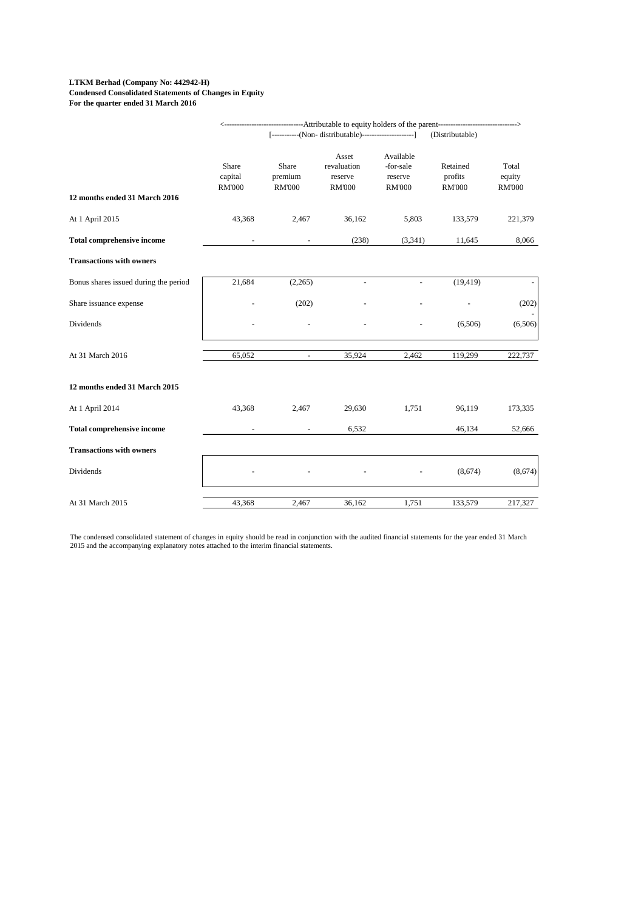#### **LTKM Berhad (Company No: 442942-H) Condensed Consolidated Statements of Changes in Equity For the quarter ended 31 March 2016**

|                                       |                                   |                                   | ------------------------Attributable to equity holders of the parent------------------------------- |                                                    |                                      | -->                              |
|---------------------------------------|-----------------------------------|-----------------------------------|-----------------------------------------------------------------------------------------------------|----------------------------------------------------|--------------------------------------|----------------------------------|
|                                       |                                   |                                   | [-----------(Non- distributable)-----------------------]                                            |                                                    | (Distributable)                      |                                  |
|                                       | Share<br>capital<br><b>RM'000</b> | Share<br>premium<br><b>RM'000</b> | Asset<br>revaluation<br>reserve<br><b>RM'000</b>                                                    | Available<br>-for-sale<br>reserve<br><b>RM'000</b> | Retained<br>profits<br><b>RM'000</b> | Total<br>equity<br><b>RM'000</b> |
| 12 months ended 31 March 2016         |                                   |                                   |                                                                                                     |                                                    |                                      |                                  |
| At 1 April 2015                       | 43,368                            | 2,467                             | 36,162                                                                                              | 5,803                                              | 133,579                              | 221,379                          |
| <b>Total comprehensive income</b>     |                                   |                                   | (238)                                                                                               | (3,341)                                            | 11,645                               | 8,066                            |
| <b>Transactions with owners</b>       |                                   |                                   |                                                                                                     |                                                    |                                      |                                  |
| Bonus shares issued during the period | 21,684                            | (2,265)                           |                                                                                                     |                                                    | (19, 419)                            |                                  |
| Share issuance expense                |                                   | (202)                             |                                                                                                     |                                                    |                                      | (202)                            |
| Dividends                             |                                   |                                   |                                                                                                     |                                                    | (6,506)                              | (6,506)                          |
| At 31 March 2016                      | 65,052                            | $\omega$                          | 35,924                                                                                              | 2,462                                              | 119,299                              | 222,737                          |
| 12 months ended 31 March 2015         |                                   |                                   |                                                                                                     |                                                    |                                      |                                  |
| At 1 April 2014                       | 43,368                            | 2,467                             | 29,630                                                                                              | 1,751                                              | 96,119                               | 173,335                          |
| <b>Total comprehensive income</b>     |                                   |                                   | 6,532                                                                                               |                                                    | 46,134                               | 52,666                           |
| <b>Transactions with owners</b>       |                                   |                                   |                                                                                                     |                                                    |                                      |                                  |
| Dividends                             |                                   |                                   |                                                                                                     |                                                    | (8,674)                              | (8,674)                          |
| At 31 March 2015                      | 43,368                            | 2,467                             | 36,162                                                                                              | 1,751                                              | 133,579                              | 217,327                          |

The condensed consolidated statement of changes in equity should be read in conjunction with the audited financial statements for the year ended 31 March<br>2015 and the accompanying explanatory notes attached to the interim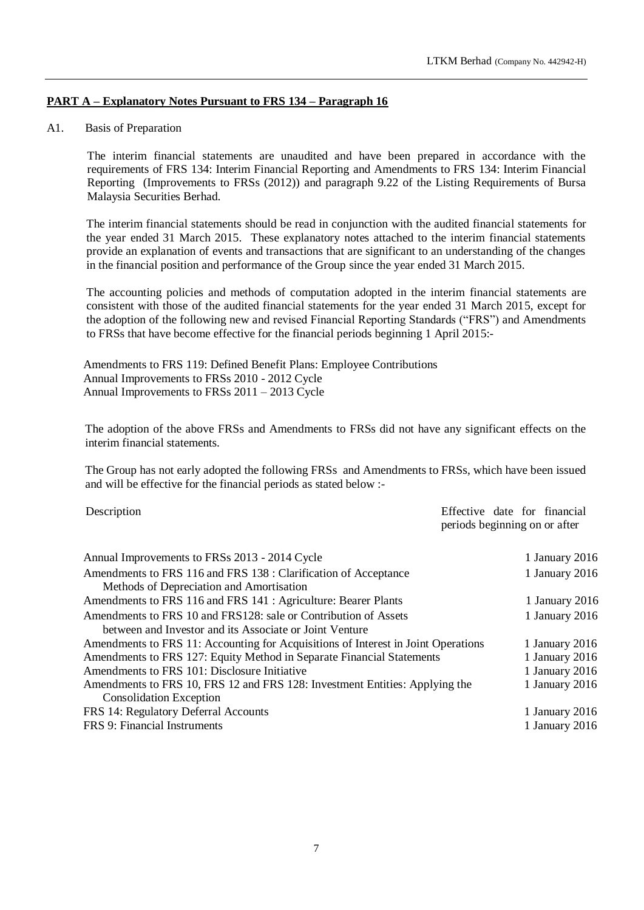# **PART A – Explanatory Notes Pursuant to FRS 134 – Paragraph 16**

### A1. Basis of Preparation

The interim financial statements are unaudited and have been prepared in accordance with the requirements of FRS 134: Interim Financial Reporting and Amendments to FRS 134: Interim Financial Reporting (Improvements to FRSs (2012)) and paragraph 9.22 of the Listing Requirements of Bursa Malaysia Securities Berhad.

The interim financial statements should be read in conjunction with the audited financial statements for the year ended 31 March 2015. These explanatory notes attached to the interim financial statements provide an explanation of events and transactions that are significant to an understanding of the changes in the financial position and performance of the Group since the year ended 31 March 2015.

The accounting policies and methods of computation adopted in the interim financial statements are consistent with those of the audited financial statements for the year ended 31 March 2015, except for the adoption of the following new and revised Financial Reporting Standards ("FRS") and Amendments to FRSs that have become effective for the financial periods beginning 1 April 2015:-

Amendments to FRS 119: Defined Benefit Plans: Employee Contributions Annual Improvements to FRSs 2010 - 2012 Cycle Annual Improvements to FRSs 2011 – 2013 Cycle

The adoption of the above FRSs and Amendments to FRSs did not have any significant effects on the interim financial statements.

The Group has not early adopted the following FRSs and Amendments to FRSs, which have been issued and will be effective for the financial periods as stated below :-

Description Effective date for financial periods beginning on or after

| Annual Improvements to FRSs 2013 - 2014 Cycle                                     | 1 January 2016   |
|-----------------------------------------------------------------------------------|------------------|
| Amendments to FRS 116 and FRS 138 : Clarification of Acceptance                   | 1 January 2016   |
| Methods of Depreciation and Amortisation                                          |                  |
| Amendments to FRS 116 and FRS 141 : Agriculture: Bearer Plants                    | 1 January 2016   |
| Amendments to FRS 10 and FRS128: sale or Contribution of Assets                   | 1 January 2016   |
| between and Investor and its Associate or Joint Venture                           |                  |
| Amendments to FRS 11: Accounting for Acquisitions of Interest in Joint Operations | 1 January 2016   |
| Amendments to FRS 127: Equity Method in Separate Financial Statements             | 1 January 2016   |
| Amendments to FRS 101: Disclosure Initiative                                      | 1 January $2016$ |
| Amendments to FRS 10, FRS 12 and FRS 128: Investment Entities: Applying the       | 1 January 2016   |
| <b>Consolidation Exception</b>                                                    |                  |
| FRS 14: Regulatory Deferral Accounts                                              | 1 January $2016$ |
| FRS 9: Financial Instruments                                                      | 1 January 2016   |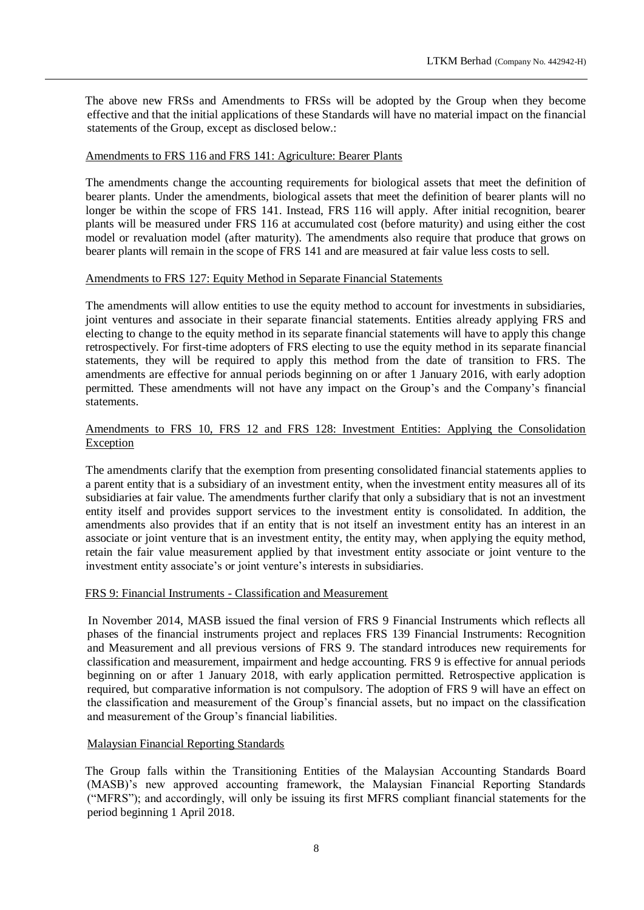The above new FRSs and Amendments to FRSs will be adopted by the Group when they become effective and that the initial applications of these Standards will have no material impact on the financial statements of the Group, except as disclosed below.:

### Amendments to FRS 116 and FRS 141: Agriculture: Bearer Plants

The amendments change the accounting requirements for biological assets that meet the definition of bearer plants. Under the amendments, biological assets that meet the definition of bearer plants will no longer be within the scope of FRS 141. Instead, FRS 116 will apply. After initial recognition, bearer plants will be measured under FRS 116 at accumulated cost (before maturity) and using either the cost model or revaluation model (after maturity). The amendments also require that produce that grows on bearer plants will remain in the scope of FRS 141 and are measured at fair value less costs to sell.

#### Amendments to FRS 127: Equity Method in Separate Financial Statements

The amendments will allow entities to use the equity method to account for investments in subsidiaries, joint ventures and associate in their separate financial statements. Entities already applying FRS and electing to change to the equity method in its separate financial statements will have to apply this change retrospectively. For first-time adopters of FRS electing to use the equity method in its separate financial statements, they will be required to apply this method from the date of transition to FRS. The amendments are effective for annual periods beginning on or after 1 January 2016, with early adoption permitted. These amendments will not have any impact on the Group's and the Company's financial statements.

# Amendments to FRS 10, FRS 12 and FRS 128: Investment Entities: Applying the Consolidation Exception

The amendments clarify that the exemption from presenting consolidated financial statements applies to a parent entity that is a subsidiary of an investment entity, when the investment entity measures all of its subsidiaries at fair value. The amendments further clarify that only a subsidiary that is not an investment entity itself and provides support services to the investment entity is consolidated. In addition, the amendments also provides that if an entity that is not itself an investment entity has an interest in an associate or joint venture that is an investment entity, the entity may, when applying the equity method, retain the fair value measurement applied by that investment entity associate or joint venture to the investment entity associate's or joint venture's interests in subsidiaries.

#### FRS 9: Financial Instruments - Classification and Measurement

In November 2014, MASB issued the final version of FRS 9 Financial Instruments which reflects all phases of the financial instruments project and replaces FRS 139 Financial Instruments: Recognition and Measurement and all previous versions of FRS 9. The standard introduces new requirements for classification and measurement, impairment and hedge accounting. FRS 9 is effective for annual periods beginning on or after 1 January 2018, with early application permitted. Retrospective application is required, but comparative information is not compulsory. The adoption of FRS 9 will have an effect on the classification and measurement of the Group's financial assets, but no impact on the classification and measurement of the Group's financial liabilities.

# Malaysian Financial Reporting Standards

The Group falls within the Transitioning Entities of the Malaysian Accounting Standards Board (MASB)'s new approved accounting framework, the Malaysian Financial Reporting Standards ("MFRS"); and accordingly, will only be issuing its first MFRS compliant financial statements for the period beginning 1 April 2018.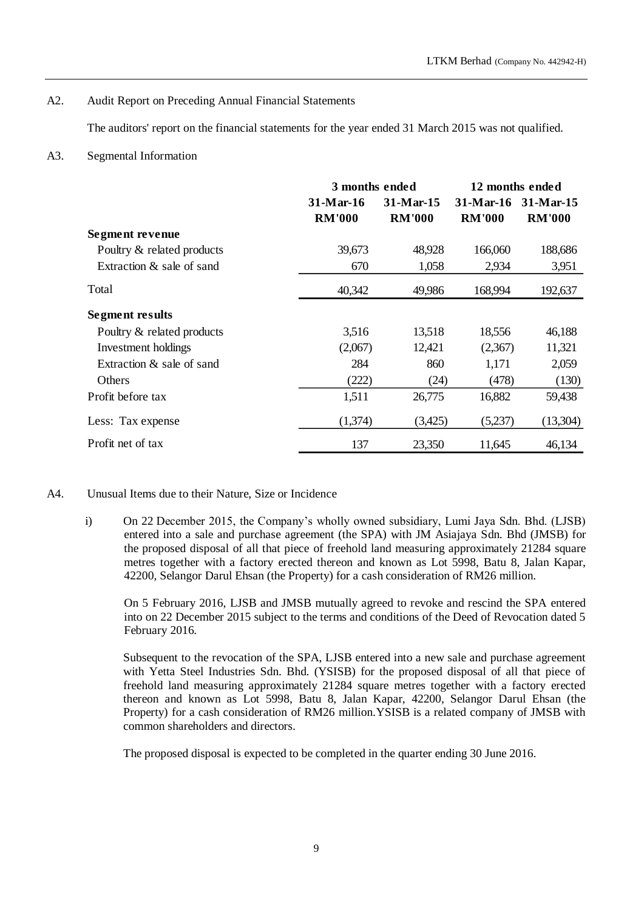# A2. Audit Report on Preceding Annual Financial Statements

The auditors' report on the financial statements for the year ended 31 March 2015 was not qualified.

# A3. Segmental Information

|                            | 3 months ended           |               | 12 months ended |               |
|----------------------------|--------------------------|---------------|-----------------|---------------|
|                            | $31-Mar-15$<br>31-Mar-16 |               | $31-Mar-16$     | $31-Mar-15$   |
|                            | <b>RM'000</b>            | <b>RM'000</b> | <b>RM'000</b>   | <b>RM'000</b> |
| Segment revenue            |                          |               |                 |               |
| Poultry & related products | 39,673                   | 48,928        | 166,060         | 188,686       |
| Extraction & sale of sand  | 670                      | 1,058         | 2,934           | 3,951         |
| Total                      | 40,342                   | 49,986        | 168,994         | 192,637       |
| <b>Segment results</b>     |                          |               |                 |               |
| Poultry & related products | 3,516                    | 13,518        | 18,556          | 46,188        |
| Investment holdings        | (2,067)                  | 12,421        | (2,367)         | 11,321        |
| Extraction & sale of sand  | 284                      | 860           | 1,171           | 2,059         |
| Others                     | (222)                    | (24)          | (478)           | (130)         |
| Profit before tax          | 1,511                    | 26,775        | 16,882          | 59,438        |
| Less: Tax expense          | (1,374)                  | (3,425)       | (5,237)         | (13,304)      |
| Profit net of tax          | 137                      | 23,350        | 11,645          | 46,134        |

# A4. Unusual Items due to their Nature, Size or Incidence

i) On 22 December 2015, the Company's wholly owned subsidiary, Lumi Jaya Sdn. Bhd. (LJSB) entered into a sale and purchase agreement (the SPA) with JM Asiajaya Sdn. Bhd (JMSB) for the proposed disposal of all that piece of freehold land measuring approximately 21284 square metres together with a factory erected thereon and known as Lot 5998, Batu 8, Jalan Kapar, 42200, Selangor Darul Ehsan (the Property) for a cash consideration of RM26 million.

On 5 February 2016, LJSB and JMSB mutually agreed to revoke and rescind the SPA entered into on 22 December 2015 subject to the terms and conditions of the Deed of Revocation dated 5 February 2016.

Subsequent to the revocation of the SPA, LJSB entered into a new sale and purchase agreement with Yetta Steel Industries Sdn. Bhd. (YSISB) for the proposed disposal of all that piece of freehold land measuring approximately 21284 square metres together with a factory erected thereon and known as Lot 5998, Batu 8, Jalan Kapar, 42200, Selangor Darul Ehsan (the Property) for a cash consideration of RM26 million.YSISB is a related company of JMSB with common shareholders and directors.

The proposed disposal is expected to be completed in the quarter ending 30 June 2016.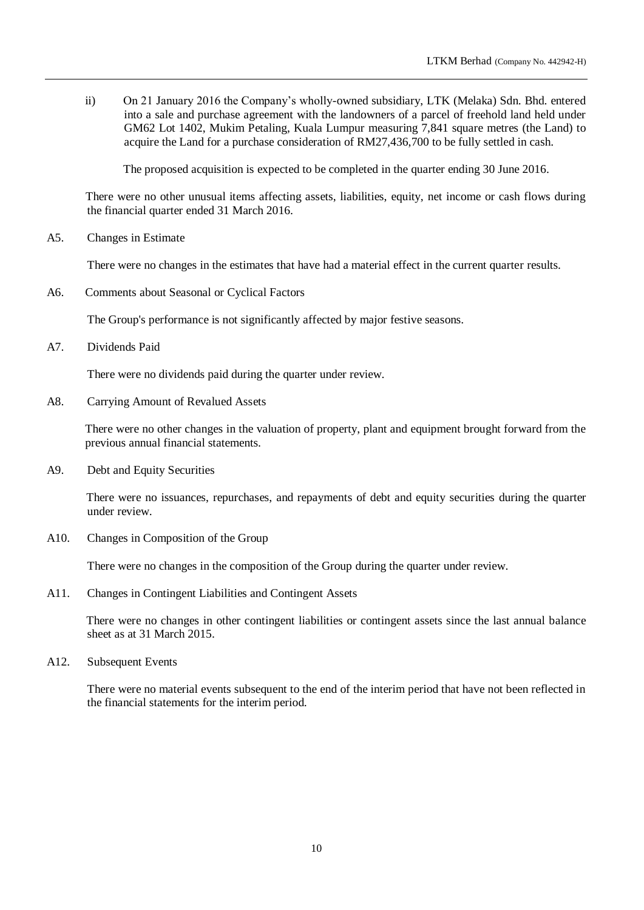ii) On 21 January 2016 the Company's wholly-owned subsidiary, LTK (Melaka) Sdn. Bhd. entered into a sale and purchase agreement with the landowners of a parcel of freehold land held under GM62 Lot 1402, Mukim Petaling, Kuala Lumpur measuring 7,841 square metres (the Land) to acquire the Land for a purchase consideration of RM27,436,700 to be fully settled in cash.

The proposed acquisition is expected to be completed in the quarter ending 30 June 2016.

There were no other unusual items affecting assets, liabilities, equity, net income or cash flows during the financial quarter ended 31 March 2016.

A5. Changes in Estimate

There were no changes in the estimates that have had a material effect in the current quarter results.

A6. Comments about Seasonal or Cyclical Factors

The Group's performance is not significantly affected by major festive seasons.

A7. Dividends Paid

There were no dividends paid during the quarter under review.

A8. Carrying Amount of Revalued Assets

There were no other changes in the valuation of property, plant and equipment brought forward from the previous annual financial statements.

A9. Debt and Equity Securities

There were no issuances, repurchases, and repayments of debt and equity securities during the quarter under review.

A10. Changes in Composition of the Group

There were no changes in the composition of the Group during the quarter under review.

A11. Changes in Contingent Liabilities and Contingent Assets

There were no changes in other contingent liabilities or contingent assets since the last annual balance sheet as at 31 March 2015.

A12. Subsequent Events

There were no material events subsequent to the end of the interim period that have not been reflected in the financial statements for the interim period.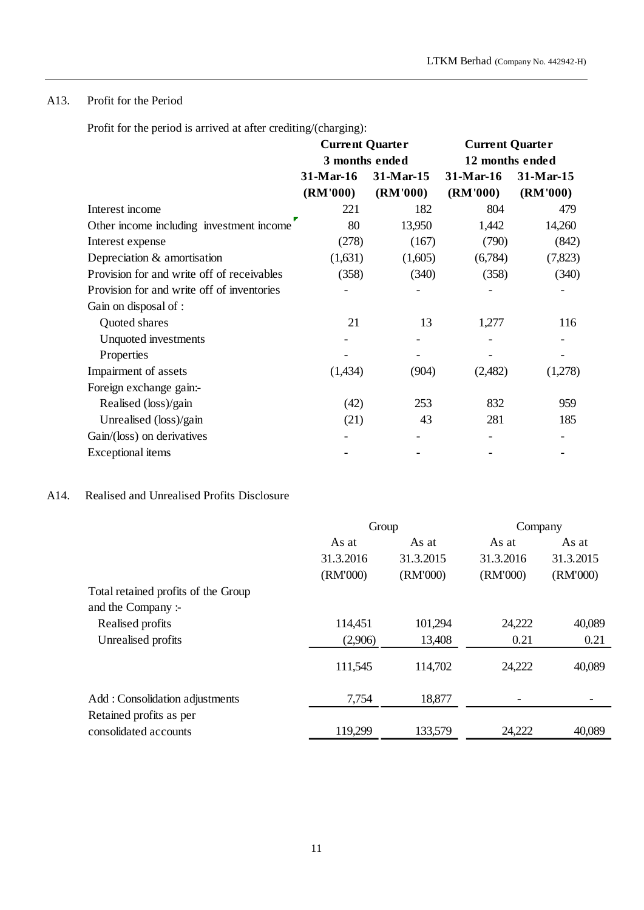# A13. Profit for the Period

Profit for the period is arrived at after crediting/(charging):

|                                            | <b>Current Quarter</b><br>3 months ended |           | <b>Current Quarter</b><br>12 months ended |           |
|--------------------------------------------|------------------------------------------|-----------|-------------------------------------------|-----------|
|                                            |                                          |           |                                           |           |
|                                            | 31-Mar-16                                | 31-Mar-15 | 31-Mar-16                                 | 31-Mar-15 |
|                                            | (RM'000)                                 | (RM'000)  | (RM'000)                                  | (RM'000)  |
| Interest income                            | 221                                      | 182       | 804                                       | 479       |
| Other income including investment income   | 80                                       | 13,950    | 1,442                                     | 14,260    |
| Interest expense                           | (278)                                    | (167)     | (790)                                     | (842)     |
| Depreciation & amortisation                | (1,631)                                  | (1,605)   | (6,784)                                   | (7, 823)  |
| Provision for and write off of receivables | (358)                                    | (340)     | (358)                                     | (340)     |
| Provision for and write off of inventories |                                          |           |                                           |           |
| Gain on disposal of :                      |                                          |           |                                           |           |
| Quoted shares                              | 21                                       | 13        | 1,277                                     | 116       |
| Unquoted investments                       |                                          |           |                                           |           |
| Properties                                 |                                          |           |                                           |           |
| Impairment of assets                       | (1,434)                                  | (904)     | (2,482)                                   | (1,278)   |
| Foreign exchange gain:-                    |                                          |           |                                           |           |
| Realised (loss)/gain                       | (42)                                     | 253       | 832                                       | 959       |
| Unrealised (loss)/gain                     | (21)                                     | 43        | 281                                       | 185       |
| Gain/(loss) on derivatives                 |                                          |           |                                           |           |
| Exceptional items                          |                                          |           |                                           |           |

# A14. Realised and Unrealised Profits Disclosure

|                                     | Group     |           | Company   |           |
|-------------------------------------|-----------|-----------|-----------|-----------|
|                                     | As at     | As at     | As at     | As at     |
|                                     | 31.3.2016 | 31.3.2015 | 31.3.2016 | 31.3.2015 |
|                                     | (RM'000)  | (RM'000)  | (RM'000)  | (RM'000)  |
| Total retained profits of the Group |           |           |           |           |
| and the Company:-                   |           |           |           |           |
| Realised profits                    | 114,451   | 101,294   | 24,222    | 40,089    |
| Unrealised profits                  | (2,906)   | 13,408    | 0.21      | 0.21      |
|                                     | 111,545   | 114,702   | 24,222    | 40,089    |
| Add: Consolidation adjustments      | 7,754     | 18,877    |           |           |
| Retained profits as per             |           |           |           |           |
| consolidated accounts               | 119,299   | 133,579   | 24,222    | 40,089    |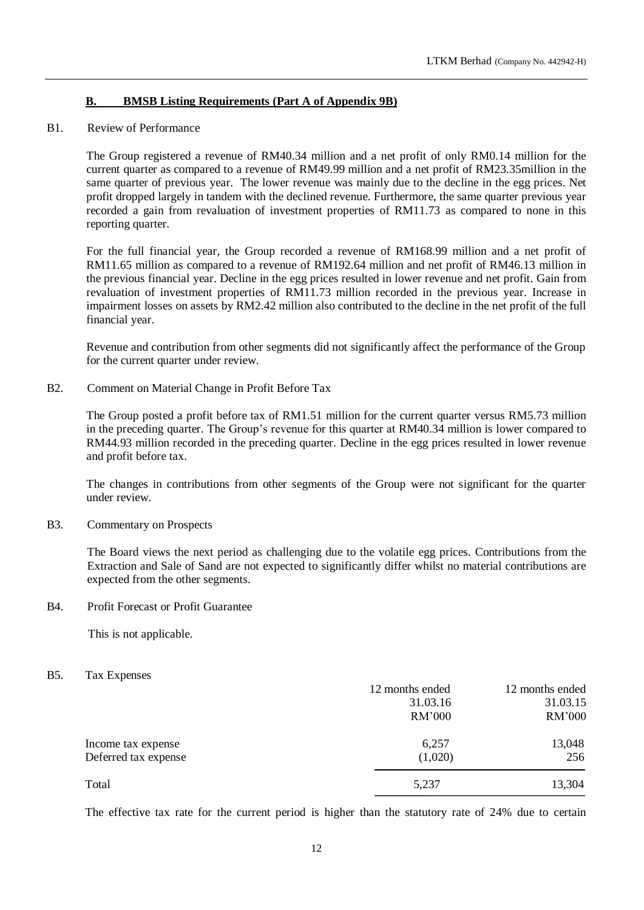# **B. BMSB Listing Requirements (Part A of Appendix 9B)**

### B1. Review of Performance

The Group registered a revenue of RM40.34 million and a net profit of only RM0.14 million for the current quarter as compared to a revenue of RM49.99 million and a net profit of RM23.35million in the same quarter of previous year. The lower revenue was mainly due to the decline in the egg prices. Net profit dropped largely in tandem with the declined revenue. Furthermore, the same quarter previous year recorded a gain from revaluation of investment properties of RM11.73 as compared to none in this reporting quarter.

For the full financial year, the Group recorded a revenue of RM168.99 million and a net profit of RM11.65 million as compared to a revenue of RM192.64 million and net profit of RM46.13 million in the previous financial year. Decline in the egg prices resulted in lower revenue and net profit. Gain from revaluation of investment properties of RM11.73 million recorded in the previous year. Increase in impairment losses on assets by RM2.42 million also contributed to the decline in the net profit of the full financial year.

Revenue and contribution from other segments did not significantly affect the performance of the Group for the current quarter under review.

B2. Comment on Material Change in Profit Before Tax

The Group posted a profit before tax of RM1.51 million for the current quarter versus RM5.73 million in the preceding quarter. The Group's revenue for this quarter at RM40.34 million is lower compared to RM44.93 million recorded in the preceding quarter. Decline in the egg prices resulted in lower revenue and profit before tax.

The changes in contributions from other segments of the Group were not significant for the quarter under review.

B3. Commentary on Prospects

The Board views the next period as challenging due to the volatile egg prices. Contributions from the Extraction and Sale of Sand are not expected to significantly differ whilst no material contributions are expected from the other segments.

B4. Profit Forecast or Profit Guarantee

This is not applicable.

B5. Tax Expenses

|                      | 12 months ended | 12 months ended |
|----------------------|-----------------|-----------------|
|                      | 31.03.16        | 31.03.15        |
|                      | RM'000          | RM'000          |
| Income tax expense   | 6,257           | 13,048          |
| Deferred tax expense | (1,020)         | 256             |
| Total                | 5,237           | 13,304          |

The effective tax rate for the current period is higher than the statutory rate of 24% due to certain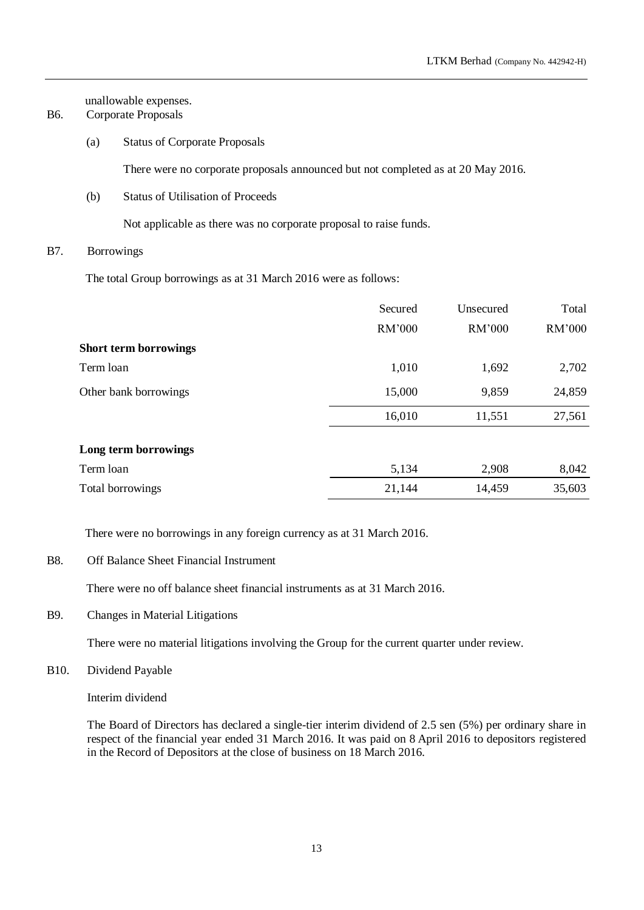unallowable expenses.

- B6. Corporate Proposals
	- (a) Status of Corporate Proposals

There were no corporate proposals announced but not completed as at 20 May 2016.

(b) Status of Utilisation of Proceeds

Not applicable as there was no corporate proposal to raise funds.

# B7. Borrowings

The total Group borrowings as at 31 March 2016 were as follows:

|                              | Secured | Unsecured | Total  |
|------------------------------|---------|-----------|--------|
|                              | RM'000  | RM'000    | RM'000 |
| <b>Short term borrowings</b> |         |           |        |
| Term loan                    | 1,010   | 1,692     | 2,702  |
| Other bank borrowings        | 15,000  | 9,859     | 24,859 |
|                              | 16,010  | 11,551    | 27,561 |
| Long term borrowings         |         |           |        |
| Term loan                    | 5,134   | 2,908     | 8,042  |
| Total borrowings             | 21,144  | 14,459    | 35,603 |

There were no borrowings in any foreign currency as at 31 March 2016.

B8. Off Balance Sheet Financial Instrument

There were no off balance sheet financial instruments as at 31 March 2016.

B9. Changes in Material Litigations

There were no material litigations involving the Group for the current quarter under review.

B10. Dividend Payable

Interim dividend

The Board of Directors has declared a single-tier interim dividend of 2.5 sen (5%) per ordinary share in respect of the financial year ended 31 March 2016. It was paid on 8 April 2016 to depositors registered in the Record of Depositors at the close of business on 18 March 2016.